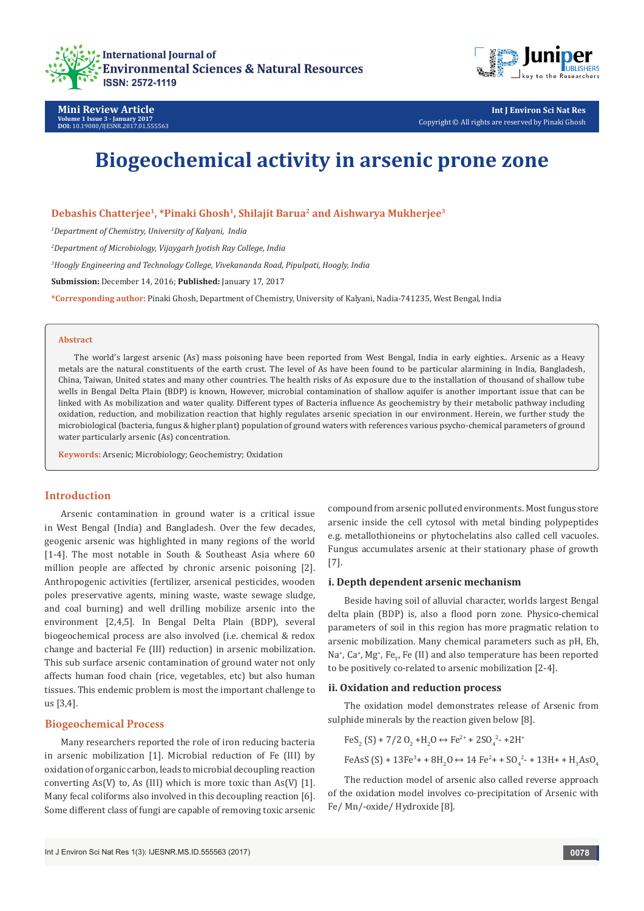



**Mini Review Article Volume 1 Issue 3 - January 2017 DOI:** [10.19080/IJESNR.2017.01.555563](http://dx.doi.org/10.19080/IJESNR.2017.01.555563
)

**Int J Environ Sci Nat Res** Copyright © All rights are reserved by Pinaki Ghosh

# **Biogeochemical activity in arsenic prone zone**

**Debashis Chatterjee1, \*Pinaki Ghosh1, Shilajit Barua2 and Aishwarya Mukherjee3**

*1 Department of Chemistry, University of Kalyani, India*

*2 Department of Microbiology, Vijaygarh Jyotish Ray College, India*

*3 Hoogly Engineering and Technology College, Vivekananda Road, Pipulpati, Hoogly, India*

**Submission:** December 14, 2016; **Published:** January 17, 2017

**\*Corresponding author:** Pinaki Ghosh, Department of Chemistry, University of Kalyani, Nadia-741235, West Bengal, India

#### **Abstract**

The world's largest arsenic (As) mass poisoning have been reported from West Bengal, India in early eighties.. Arsenic as a Heavy metals are the natural constituents of the earth crust. The level of As have been found to be particular alarmining in India, Bangladesh, China, Taiwan, United states and many other countries. The health risks of As exposure due to the installation of thousand of shallow tube wells in Bengal Delta Plain (BDP) is known, However, microbial contamination of shallow aquifer is another important issue that can be linked with As mobilization and water quality. Different types of Bacteria influence As geochemistry by their metabolic pathway including oxidation, reduction, and mobilization reaction that highly regulates arsenic speciation in our environment. Herein, we further study the microbiological (bacteria, fungus & higher plant) population of ground waters with references various psycho-chemical parameters of ground water particularly arsenic (As) concentration.

**Keywords:** Arsenic; Microbiology; Geochemistry; Oxidation

### **Introduction**

Arsenic contamination in ground water is a critical issue in West Bengal (India) and Bangladesh. Over the few decades, geogenic arsenic was highlighted in many regions of the world [1-4]. The most notable in South & Southeast Asia where 60 million people are affected by chronic arsenic poisoning [2]. Anthropogenic activities (fertilizer, arsenical pesticides, wooden poles preservative agents, mining waste, waste sewage sludge, and coal burning) and well drilling mobilize arsenic into the environment [2,4,5]. In Bengal Delta Plain (BDP), several biogeochemical process are also involved (i.e. chemical & redox change and bacterial Fe (III) reduction) in arsenic mobilization. This sub surface arsenic contamination of ground water not only affects human food chain (rice, vegetables, etc) but also human tissues. This endemic problem is most the important challenge to us [3,4].

#### **Biogeochemical Process**

Many researchers reported the role of iron reducing bacteria in arsenic mobilization [1]. Microbial reduction of Fe (III) by oxidation of organic carbon, leads to microbial decoupling reaction converting  $As(V)$  to, As (III) which is more toxic than  $As(V)$  [1]. Many fecal coliforms also involved in this decoupling reaction [6]. Some different class of fungi are capable of removing toxic arsenic compound from arsenic polluted environments. Most fungus store arsenic inside the cell cytosol with metal binding polypeptides e.g. metallothioneins or phytochelatins also called cell vacuoles. Fungus accumulates arsenic at their stationary phase of growth [7].

#### **i. Depth dependent arsenic mechanism**

Beside having soil of alluvial character, worlds largest Bengal delta plain (BDP) is, also a flood porn zone. Physico-chemical parameters of soil in this region has more pragmatic relation to arsenic mobilization. Many chemical parameters such as pH, Eh, Na<sup>+</sup>, Ca<sup>+</sup>, Mg<sup>+</sup>, Fe<sub>™</sub>, Fe (II) and also temperature has been reported to be positively co-related to arsenic mobilization [2-4].

#### **ii. Oxidation and reduction process**

The oxidation model demonstrates release of Arsenic from sulphide minerals by the reaction given below [8].

$$
\text{FeS}_2\left(\text{S}\right) + 7/2 \text{ O}_2 + \text{H}_2\text{O} \leftrightarrow \text{Fe}^{2+} + 2\text{SO}_4^{2-} + 2\text{H}^+
$$

FeAsS (S) + 13Fe<sup>3</sup> + + 8H<sub>2</sub>O 
$$
\leftrightarrow
$$
 14 Fe<sup>2</sup> + + SO<sub>4</sub><sup>2</sup> - + 13H + + H<sub>3</sub>AsO<sub>4</sub>

The reduction model of arsenic also called reverse approach of the oxidation model involves co-precipitation of Arsenic with Fe/ Mn/-oxide/ Hydroxide [8].